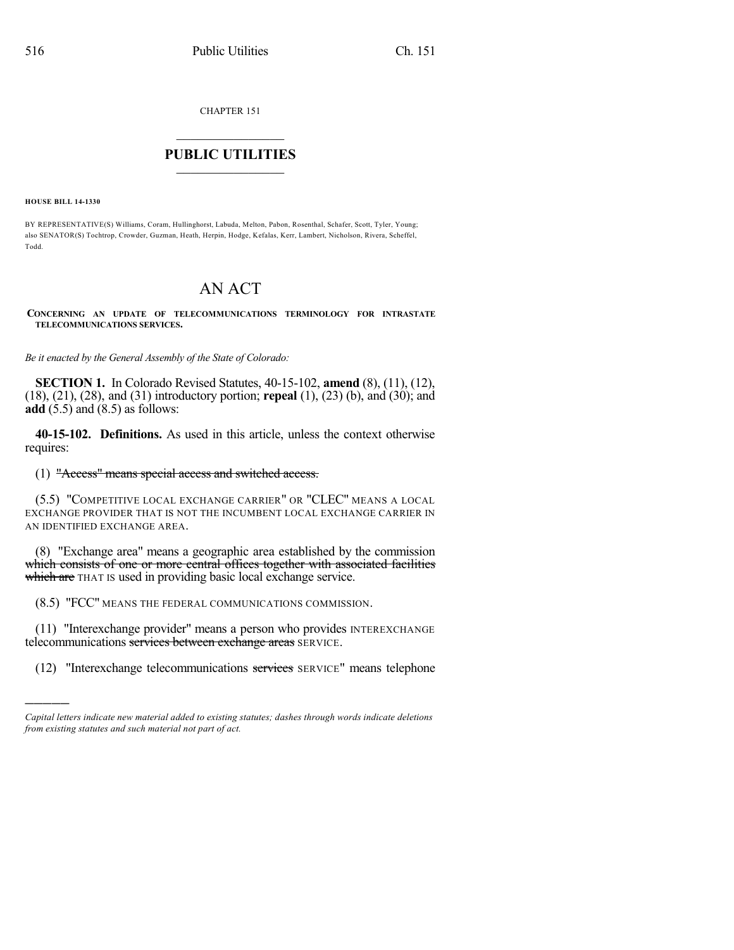CHAPTER 151

## $\mathcal{L}_\text{max}$  . The set of the set of the set of the set of the set of the set of the set of the set of the set of the set of the set of the set of the set of the set of the set of the set of the set of the set of the set **PUBLIC UTILITIES** \_\_\_\_\_\_\_\_\_\_\_\_\_\_\_

**HOUSE BILL 14-1330**

)))))

BY REPRESENTATIVE(S) Williams, Coram, Hullinghorst, Labuda, Melton, Pabon, Rosenthal, Schafer, Scott, Tyler, Young; also SENATOR(S) Tochtrop, Crowder, Guzman, Heath, Herpin, Hodge, Kefalas, Kerr, Lambert, Nicholson, Rivera, Scheffel, Todd.

# AN ACT

**CONCERNING AN UPDATE OF TELECOMMUNICATIONS TERMINOLOGY FOR INTRASTATE TELECOMMUNICATIONS SERVICES.**

*Be it enacted by the General Assembly of the State of Colorado:*

**SECTION 1.** In Colorado Revised Statutes, 40-15-102, **amend** (8), (11), (12), (18), (21), (28), and (31) introductory portion; **repeal** (1), (23) (b), and (30); and **add** (5.5) and (8.5) as follows:

**40-15-102. Definitions.** As used in this article, unless the context otherwise requires:

#### (1) "Access" means special access and switched access.

(5.5) "COMPETITIVE LOCAL EXCHANGE CARRIER" OR "CLEC" MEANS A LOCAL EXCHANGE PROVIDER THAT IS NOT THE INCUMBENT LOCAL EXCHANGE CARRIER IN AN IDENTIFIED EXCHANGE AREA.

(8) "Exchange area" means a geographic area established by the commission which consists of one or more central offices together with associated facilities which are THAT IS used in providing basic local exchange service.

(8.5) "FCC" MEANS THE FEDERAL COMMUNICATIONS COMMISSION.

(11) "Interexchange provider" means a person who provides INTEREXCHANGE telecommunications services between exchange areas SERVICE.

(12) "Interexchange telecommunications services SERVICE" means telephone

*Capital letters indicate new material added to existing statutes; dashes through words indicate deletions from existing statutes and such material not part of act.*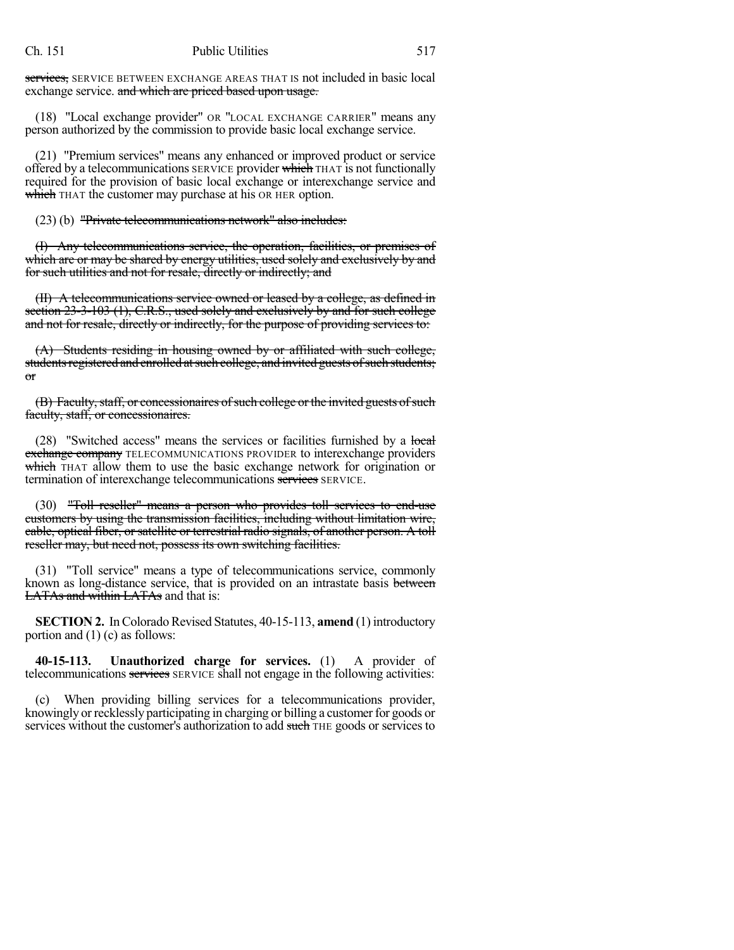services, SERVICE BETWEEN EXCHANGE AREAS THAT IS not included in basic local exchange service. and which are priced based upon usage.

(18) "Local exchange provider" OR "LOCAL EXCHANGE CARRIER" means any person authorized by the commission to provide basic local exchange service.

(21) "Premium services" means any enhanced or improved product or service offered by a telecommunications SERVICE provider which THAT is not functionally required for the provision of basic local exchange or interexchange service and which THAT the customer may purchase at his OR HER option.

(23) (b) "Private telecommunications network" also includes:

(I) Any telecommunications service, the operation, facilities, or premises of which are or may be shared by energy utilities, used solely and exclusively by and for such utilities and not for resale, directly or indirectly; and

(II) A telecommunications service owned or leased by a college, as defined in section 23-3-103 (1), C.R.S., used solely and exclusively by and for such college and not for resale, directly or indirectly, for the purpose of providing services to:

(A) Students residing in housing owned by or affiliated with such college, students registered and enrolled at such college, and invited guests of such students; or

(B) Faculty, staff, or concessionaires of such college or the invited guests of such faculty, staff, or concessionaires.

(28) "Switched access" means the services or facilities furnished by a local exchange company TELECOMMUNICATIONS PROVIDER to interexchange providers which THAT allow them to use the basic exchange network for origination or termination of interexchange telecommunications services SERVICE.

(30) "Toll reseller" means a person who provides toll services to end-use customers by using the transmission facilities, including without limitation wire, cable, optical fiber, or satellite or terrestrial radio signals, of another person. A toll reseller may, but need not, possess its own switching facilities.

(31) "Toll service" means a type of telecommunications service, commonly known as long-distance service, that is provided on an intrastate basis between LATAs and within LATAs and that is:

**SECTION 2.** In Colorado Revised Statutes, 40-15-113, amend (1) introductory portion and (1) (c) as follows:

**40-15-113. Unauthorized charge for services.** (1) A provider of telecommunications services SERVICE shall not engage in the following activities:

When providing billing services for a telecommunications provider, knowingly or recklessly participating in charging or billing a customer for goods or services without the customer's authorization to add such THE goods or services to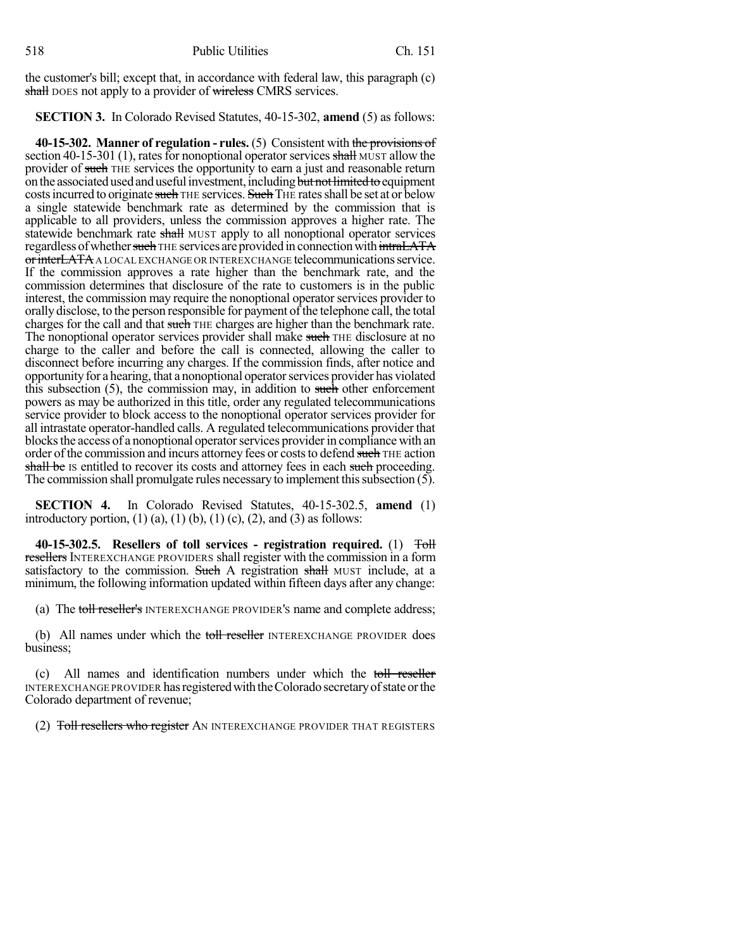the customer's bill; except that, in accordance with federal law, this paragraph (c) shall DOES not apply to a provider of wireless CMRS services.

**SECTION 3.** In Colorado Revised Statutes, 40-15-302, **amend** (5) as follows:

**40-15-302. Manner of regulation - rules.** (5) Consistent with the provisions of section 40-15-301 (1), rates for nonoptional operator services shall MUST allow the provider of such THE services the opportunity to earn a just and reasonable return on the associated used and useful investment, including but not limited to equipment costs incurred to originate such THE services. Such THE rates shall be set at or below a single statewide benchmark rate as determined by the commission that is applicable to all providers, unless the commission approves a higher rate. The statewide benchmark rate shall MUST apply to all nonoptional operator services regardless of whether such THE services are provided in connection with intraLATA or interLATA A LOCAL EXCHANGE OR INTEREXCHANGE telecommunications service. If the commission approves a rate higher than the benchmark rate, and the commission determines that disclosure of the rate to customers is in the public interest, the commission may require the nonoptional operator services provider to orally disclose, to the person responsible for payment of the telephone call, the total charges for the call and that such THE charges are higher than the benchmark rate. The nonoptional operator services provider shall make such THE disclosure at no charge to the caller and before the call is connected, allowing the caller to disconnect before incurring any charges. If the commission finds, after notice and opportunityfor a hearing, that a nonoptional operatorservices provider has violated this subsection  $(5)$ , the commission may, in addition to such other enforcement powers as may be authorized in this title, order any regulated telecommunications service provider to block access to the nonoptional operator services provider for all intrastate operator-handled calls. A regulated telecommunications provider that blocks the access of a nonoptional operator services provider in compliance with an order of the commission and incurs attorney fees or costs to defend such THE action shall be Is entitled to recover its costs and attorney fees in each such proceeding. The commission shall promulgate rules necessary to implement this subsection  $(5)$ .

**SECTION 4.** In Colorado Revised Statutes, 40-15-302.5, **amend** (1) introductory portion,  $(1)$   $(a)$ ,  $(1)$   $(b)$ ,  $(1)$   $(c)$ ,  $(2)$ , and  $(3)$  as follows:

**40-15-302.5. Resellers of toll services - registration required.** (1) Toll resellers INTEREXCHANGE PROVIDERS shall register with the commission in a form satisfactory to the commission. Such A registration shall MUST include, at a minimum, the following information updated within fifteen days after any change:

(a) The toll reseller's INTEREXCHANGE PROVIDER's name and complete address;

(b) All names under which the toll reseller INTEREXCHANGE PROVIDER does business;

(c) All names and identification numbers under which the toll reseller INTEREXCHANGE PROVIDER has registered with the Colorado secretary of state or the Colorado department of revenue;

(2) Toll resellers who register AN INTEREXCHANGE PROVIDER THAT REGISTERS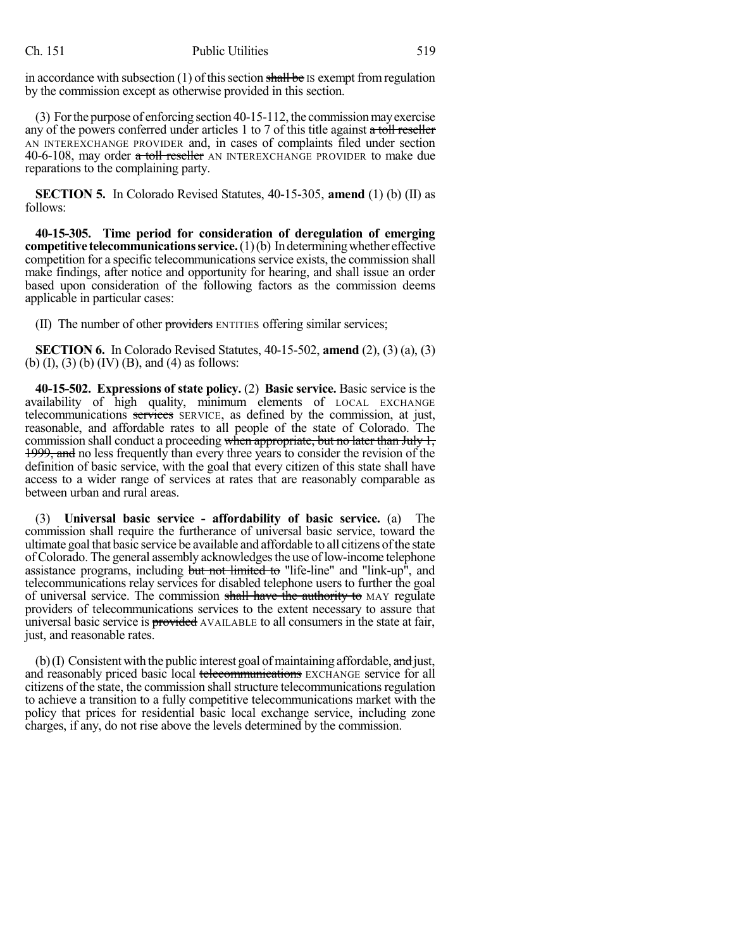in accordance with subsection (1) of this section shall be IS exempt from regulation by the commission except as otherwise provided in this section.

(3) Forthe purpose of enforcing section 40-15-112, the commissionmayexercise any of the powers conferred under articles 1 to 7 of this title against a toll reseller AN INTEREXCHANGE PROVIDER and, in cases of complaints filed under section 40-6-108, may order a toll reseller AN INTEREXCHANGE PROVIDER to make due reparations to the complaining party.

**SECTION 5.** In Colorado Revised Statutes, 40-15-305, **amend** (1) (b) (II) as follows:

**40-15-305. Time period for consideration of deregulation of emerging competitive telecommunications service.** (1)(b) Indetermining whether effective competition for a specific telecommunicationsservice exists, the commission shall make findings, after notice and opportunity for hearing, and shall issue an order based upon consideration of the following factors as the commission deems applicable in particular cases:

(II) The number of other providers ENTITIES offering similar services;

**SECTION 6.** In Colorado Revised Statutes, 40-15-502, **amend** (2), (3) (a), (3) (b) (I), (3) (b) (IV) (B), and (4) as follows:

**40-15-502. Expressions of state policy.** (2) **Basic service.** Basic service is the availability of high quality, minimum elements of LOCAL EXCHANGE telecommunications services SERVICE, as defined by the commission, at just, reasonable, and affordable rates to all people of the state of Colorado. The commission shall conduct a proceeding when appropriate, but no later than July 1, 1999, and no less frequently than every three years to consider the revision of the definition of basic service, with the goal that every citizen of this state shall have access to a wider range of services at rates that are reasonably comparable as between urban and rural areas.

(3) **Universal basic service - affordability of basic service.** (a) The commission shall require the furtherance of universal basic service, toward the ultimate goal that basic service be available and affordable to all citizens ofthe state of Colorado. The general assembly acknowledges the use of low-income telephone assistance programs, including but not limited to "life-line" and "link-up", and telecommunications relay services for disabled telephone users to further the goal of universal service. The commission shall have the authority to MAY regulate providers of telecommunications services to the extent necessary to assure that universal basic service is provided AVAILABLE to all consumers in the state at fair, just, and reasonable rates.

(b)(I) Consistent with the public interest goal of maintaining affordable, and just, and reasonably priced basic local telecommunications EXCHANGE service for all citizens of the state, the commission shall structure telecommunications regulation to achieve a transition to a fully competitive telecommunications market with the policy that prices for residential basic local exchange service, including zone charges, if any, do not rise above the levels determined by the commission.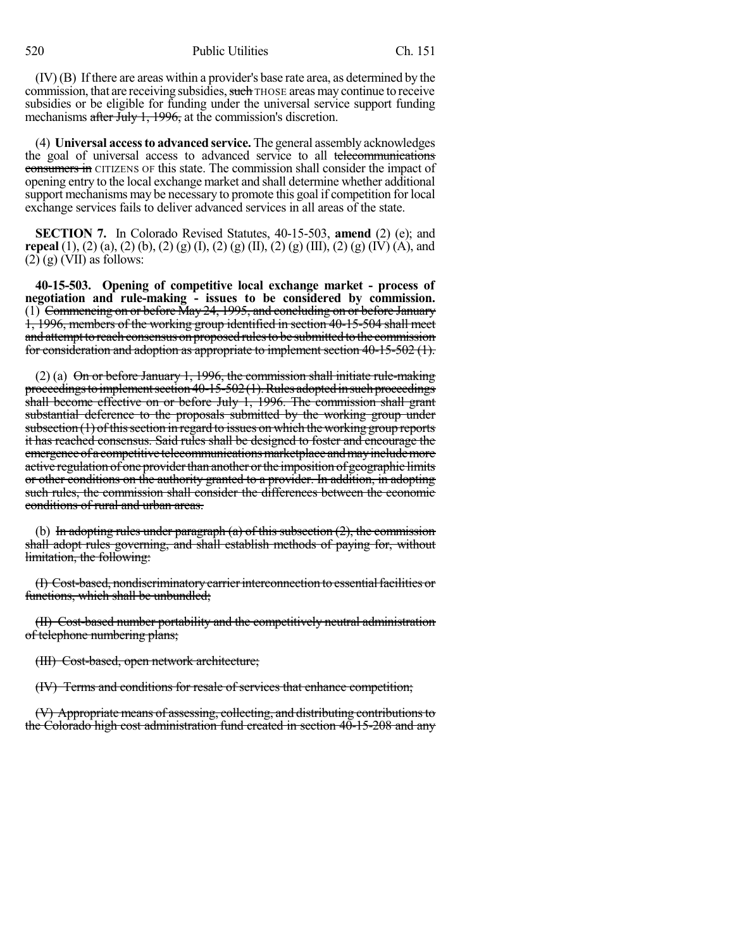(IV) (B) If there are areas within a provider's base rate area, as determined by the commission, that are receiving subsidies, such THOSE areas may continue to receive subsidies or be eligible for funding under the universal service support funding mechanisms after July 1, 1996, at the commission's discretion.

(4) **Universal accessto advanced service.** The general assembly acknowledges the goal of universal access to advanced service to all telecommunications consumers in CITIZENS OF this state. The commission shall consider the impact of opening entry to the local exchange market and shall determine whether additional support mechanisms may be necessary to promote this goal if competition for local exchange services fails to deliver advanced services in all areas of the state.

**SECTION 7.** In Colorado Revised Statutes, 40-15-503, **amend** (2) (e); and **repeal** (1), (2) (a), (2) (b), (2) (g) (I), (2) (g) (II), (2) (g) (III), (2) (g) (IV) (A), and  $(2)$  (g) (VII) as follows:

**40-15-503. Opening of competitive local exchange market - process of negotiation and rule-making - issues to be considered by commission.** (1) Commencing on or before May 24, 1995, and concluding on or before January 1, 1996, members of the working group identified in section 40-15-504 shall meet and attempt to reach consensus on proposed rules to be submitted to the commission for consideration and adoption as appropriate to implement section 40-15-502 (1).

(2) (a)  $\Theta$ n or before January 1, 1996, the commission shall initiate rule-making proceedings to implement section  $40-15-502(1)$ . Rules adopted in such proceedings shall become effective on or before July 1, 1996. The commission shall grant substantial deference to the proposals submitted by the working group under subsection  $(1)$  of this section in regard to issues on which the working group reports it has reached consensus. Said rules shall be designed to foster and encourage the emergence of a competitive telecommunications marketplace and may include more active regulation of one provider than another or the imposition of geographic limits or other conditions on the authority granted to a provider. In addition, in adopting such rules, the commission shall consider the differences between the economic conditions of rural and urban areas.

(b) In adopting rules under paragraph  $(a)$  of this subsection  $(2)$ , the commission shall adopt rules governing, and shall establish methods of paying for, without limitation, the following:

(I) Cost-based, nondiscriminatory carrier interconnection to essential facilities or functions, which shall be unbundled;

(II) Cost-based number portability and the competitively neutral administration of telephone numbering plans;

(III) Cost-based, open network architecture;

(IV) Terms and conditions for resale of services that enhance competition;

(V) Appropriate means of assessing, collecting, and distributing contributionsto the Colorado high cost administration fund created in section 40-15-208 and any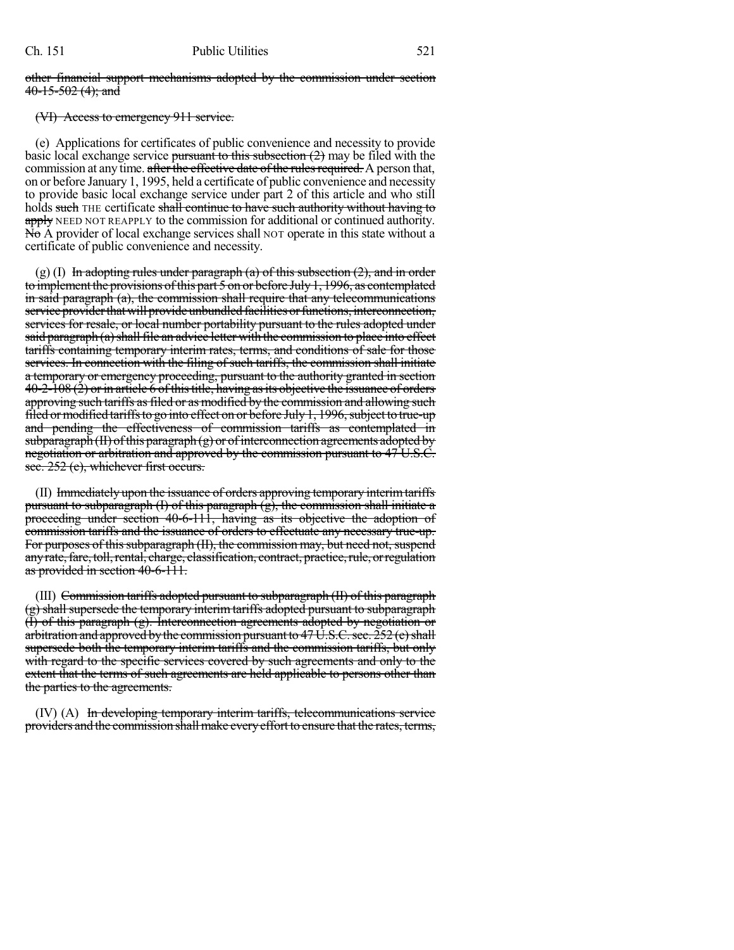#### other financial support mechanisms adopted by the commission under section  $40-15-502(4)$ ; and

### (VI) Access to emergency 911 service.

(e) Applications for certificates of public convenience and necessity to provide basic local exchange service pursuant to this subsection  $(2)$  may be filed with the commission at any time. after the effective date of the rules required. A person that, on or before January 1, 1995, held a certificate of public convenience and necessity to provide basic local exchange service under part 2 of this article and who still holds such THE certificate shall continue to have such authority without having to apply NEED NOT REAPPLY to the commission for additional or continued authority.  $N\ddot{\text{o}}$  A provider of local exchange services shall NOT operate in this state without a certificate of public convenience and necessity.

 $(g)$  (I) In adopting rules under paragraph (a) of this subsection (2), and in order to implement the provisions of this part 5 on or before July 1, 1996, as contemplated in said paragraph (a), the commission shall require that any telecommunications service provider that will provide unbundled facilities or functions, interconnection, services for resale, or local number portability pursuant to the rules adopted under said paragraph (a) shall file an advice letter with the commission to place into effect tariffs containing temporary interim rates, terms, and conditions of sale for those services. In connection with the filing of such tariffs, the commission shall initiate a temporary or emergency proceeding, pursuant to the authority granted in section  $40-2-108$  (2) or in article 6 of this title, having as its objective the issuance of orders approving such tariffs as filed or as modified by the commission and allowing such filed or modified tariffs to go into effect on or before July 1, 1996, subject to true-up and pending the effectiveness of commission tariffs as contemplated in subparagraph (II) of this paragraph  $(g)$  or of interconnection agreements adopted by negotiation or arbitration and approved by the commission pursuant to 47 U.S.C. sec. 252 (e), whichever first occurs.

(II) Immediately upon the issuance of orders approving temporary interimtariffs pursuant to subparagraph (I) of this paragraph  $(g)$ , the commission shall initiate a proceeding under section 40-6-111, having as its objective the adoption of commission tariffs and the issuance of orders to effectuate any necessary true-up. For purposes of this subparagraph (II), the commission may, but need not, suspend any rate, fare, toll, rental, charge, classification, contract, practice, rule, or regulation as provided in section 40-6-111.

(III) Commission tariffs adopted pursuant to subparagraph (II) of this paragraph (g) shall supersede the temporary interim tariffs adopted pursuant to subparagraph (I) of this paragraph (g). Interconnection agreements adopted by negotiation or arbitration and approved by the commission pursuant to  $47 \text{ U.S.C.}$  sec.  $252 \text{ (e)}$  shall supersede both the temporary interim tariffs and the commission tariffs, but only with regard to the specific services covered by such agreements and only to the extent that the terms of such agreements are held applicable to persons other than the parties to the agreements.

(IV) (A) In developing temporary interim tariffs, telecommunications service providers and the commission shall make every effort to ensure that the rates, terms,